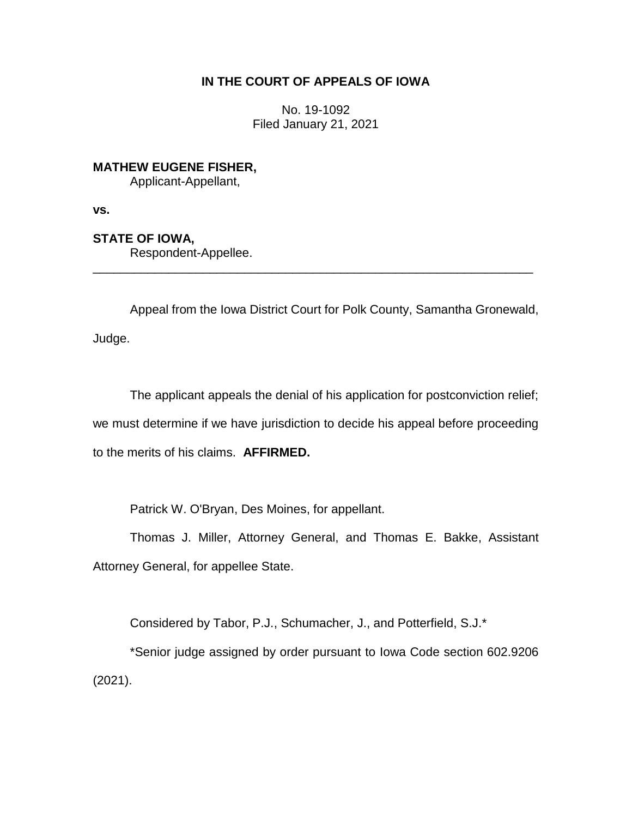## **IN THE COURT OF APPEALS OF IOWA**

No. 19-1092 Filed January 21, 2021

**MATHEW EUGENE FISHER,**

Applicant-Appellant,

**vs.**

**STATE OF IOWA,**

Respondent-Appellee.

Appeal from the Iowa District Court for Polk County, Samantha Gronewald, Judge.

\_\_\_\_\_\_\_\_\_\_\_\_\_\_\_\_\_\_\_\_\_\_\_\_\_\_\_\_\_\_\_\_\_\_\_\_\_\_\_\_\_\_\_\_\_\_\_\_\_\_\_\_\_\_\_\_\_\_\_\_\_\_\_\_

The applicant appeals the denial of his application for postconviction relief; we must determine if we have jurisdiction to decide his appeal before proceeding to the merits of his claims. **AFFIRMED.** 

Patrick W. O'Bryan, Des Moines, for appellant.

Thomas J. Miller, Attorney General, and Thomas E. Bakke, Assistant Attorney General, for appellee State.

Considered by Tabor, P.J., Schumacher, J., and Potterfield, S.J.\*

\*Senior judge assigned by order pursuant to Iowa Code section 602.9206 (2021).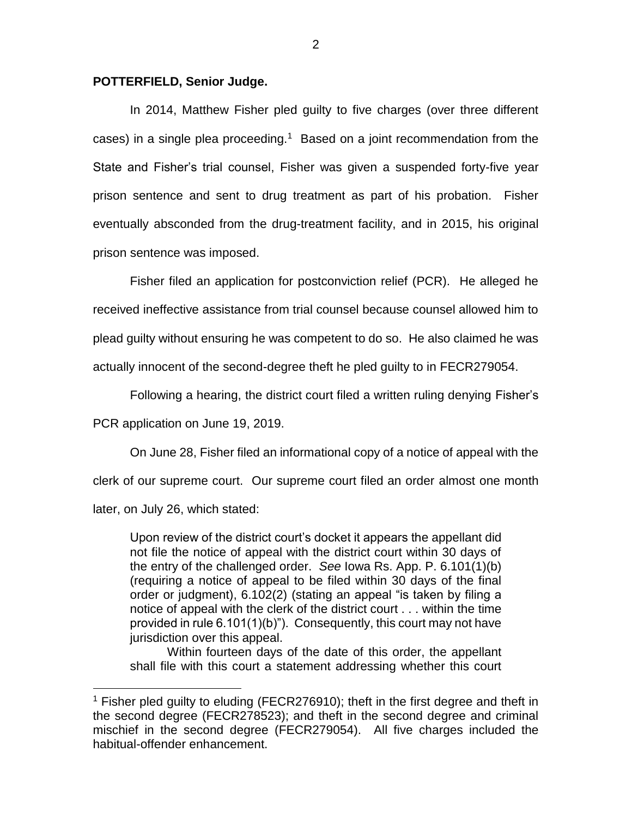## **POTTERFIELD, Senior Judge.**

In 2014, Matthew Fisher pled guilty to five charges (over three different cases) in a single plea proceeding.<sup>1</sup> Based on a joint recommendation from the State and Fisher's trial counsel, Fisher was given a suspended forty-five year prison sentence and sent to drug treatment as part of his probation. Fisher eventually absconded from the drug-treatment facility, and in 2015, his original prison sentence was imposed.

Fisher filed an application for postconviction relief (PCR). He alleged he received ineffective assistance from trial counsel because counsel allowed him to plead guilty without ensuring he was competent to do so. He also claimed he was actually innocent of the second-degree theft he pled guilty to in FECR279054.

Following a hearing, the district court filed a written ruling denying Fisher's

PCR application on June 19, 2019.

 $\overline{a}$ 

On June 28, Fisher filed an informational copy of a notice of appeal with the clerk of our supreme court. Our supreme court filed an order almost one month later, on July 26, which stated:

Upon review of the district court's docket it appears the appellant did not file the notice of appeal with the district court within 30 days of the entry of the challenged order. *See* Iowa Rs. App. P. 6.101(1)(b) (requiring a notice of appeal to be filed within 30 days of the final order or judgment), 6.102(2) (stating an appeal "is taken by filing a notice of appeal with the clerk of the district court . . . within the time provided in rule 6.101(1)(b)").Consequently, this court may not have jurisdiction over this appeal.

Within fourteen days of the date of this order, the appellant shall file with this court a statement addressing whether this court

<sup>1</sup> Fisher pled guilty to eluding (FECR276910); theft in the first degree and theft in the second degree (FECR278523); and theft in the second degree and criminal mischief in the second degree (FECR279054). All five charges included the habitual-offender enhancement.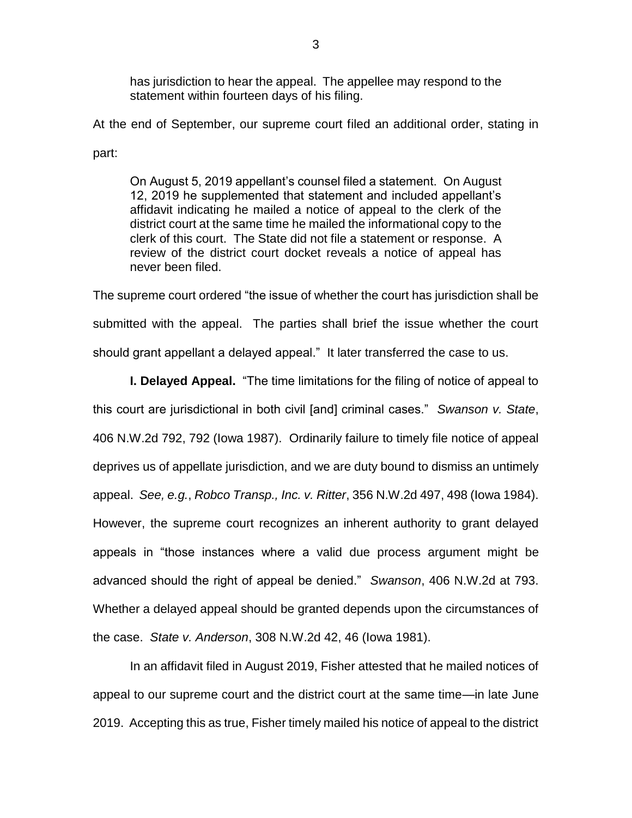has jurisdiction to hear the appeal. The appellee may respond to the statement within fourteen days of his filing.

At the end of September, our supreme court filed an additional order, stating in part:

On August 5, 2019 appellant's counsel filed a statement. On August 12, 2019 he supplemented that statement and included appellant's affidavit indicating he mailed a notice of appeal to the clerk of the district court at the same time he mailed the informational copy to the clerk of this court. The State did not file a statement or response. A review of the district court docket reveals a notice of appeal has never been filed.

The supreme court ordered "the issue of whether the court has jurisdiction shall be submitted with the appeal. The parties shall brief the issue whether the court should grant appellant a delayed appeal." It later transferred the case to us.

**I. Delayed Appeal.** "The time limitations for the filing of notice of appeal to this court are jurisdictional in both civil [and] criminal cases." *Swanson v. State*, 406 N.W.2d 792, 792 (Iowa 1987). Ordinarily failure to timely file notice of appeal deprives us of appellate jurisdiction, and we are duty bound to dismiss an untimely appeal. *See, e.g.*, *Robco Transp., Inc. v. Ritter*, 356 N.W.2d 497, 498 (Iowa 1984). However, the supreme court recognizes an inherent authority to grant delayed appeals in "those instances where a valid due process argument might be advanced should the right of appeal be denied." *Swanson*, 406 N.W.2d at 793. Whether a delayed appeal should be granted depends upon the circumstances of the case. *State v. Anderson*, 308 N.W.2d 42, 46 (Iowa 1981).

In an affidavit filed in August 2019, Fisher attested that he mailed notices of appeal to our supreme court and the district court at the same time—in late June 2019. Accepting this as true, Fisher timely mailed his notice of appeal to the district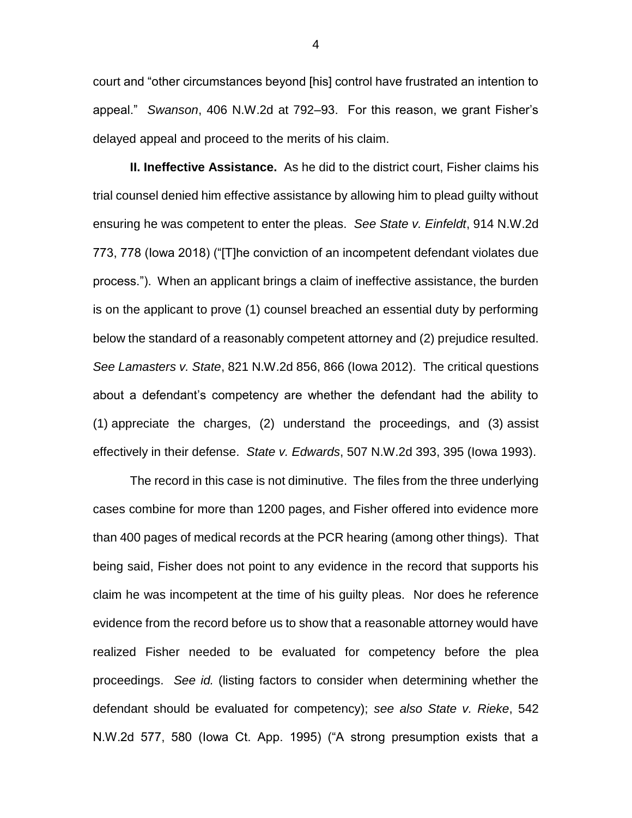court and "other circumstances beyond [his] control have frustrated an intention to appeal." *Swanson*, 406 N.W.2d at 792–93. For this reason, we grant Fisher's delayed appeal and proceed to the merits of his claim.

**II. Ineffective Assistance.** As he did to the district court, Fisher claims his trial counsel denied him effective assistance by allowing him to plead guilty without ensuring he was competent to enter the pleas. *See State v. Einfeldt*, 914 N.W.2d 773, 778 (Iowa 2018) ("[T]he conviction of an incompetent defendant violates due process."). When an applicant brings a claim of ineffective assistance, the burden is on the applicant to prove (1) counsel breached an essential duty by performing below the standard of a reasonably competent attorney and (2) prejudice resulted. *See Lamasters v. State*, 821 N.W.2d 856, 866 (Iowa 2012). The critical questions about a defendant's competency are whether the defendant had the ability to (1) appreciate the charges, (2) understand the proceedings, and (3) assist effectively in their defense. *State v. Edwards*, 507 N.W.2d 393, 395 (Iowa 1993).

The record in this case is not diminutive. The files from the three underlying cases combine for more than 1200 pages, and Fisher offered into evidence more than 400 pages of medical records at the PCR hearing (among other things). That being said, Fisher does not point to any evidence in the record that supports his claim he was incompetent at the time of his guilty pleas. Nor does he reference evidence from the record before us to show that a reasonable attorney would have realized Fisher needed to be evaluated for competency before the plea proceedings. *See id.* (listing factors to consider when determining whether the defendant should be evaluated for competency); *see also State v. Rieke*, 542 N.W.2d 577, 580 (Iowa Ct. App. 1995) ("A strong presumption exists that a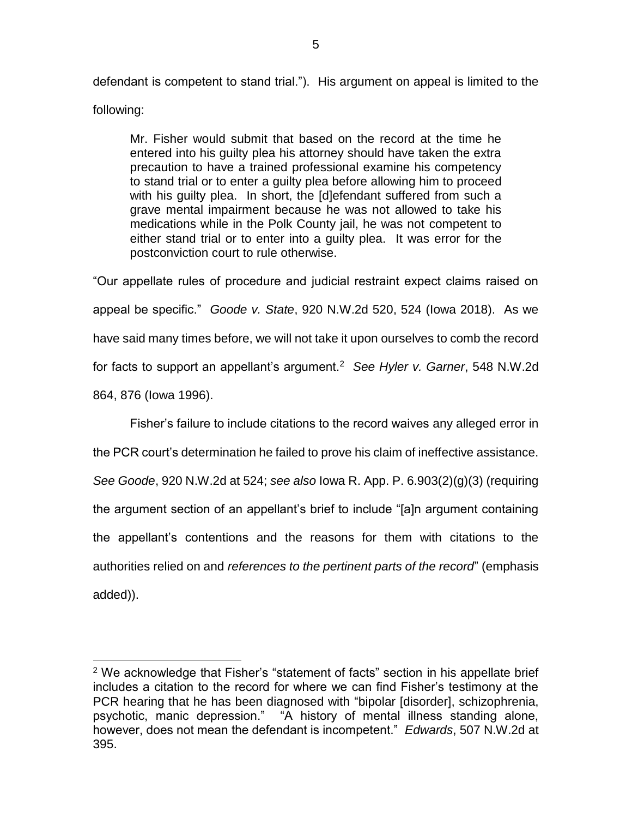defendant is competent to stand trial."). His argument on appeal is limited to the following:

Mr. Fisher would submit that based on the record at the time he entered into his guilty plea his attorney should have taken the extra precaution to have a trained professional examine his competency to stand trial or to enter a guilty plea before allowing him to proceed with his guilty plea. In short, the [d]efendant suffered from such a grave mental impairment because he was not allowed to take his medications while in the Polk County jail, he was not competent to either stand trial or to enter into a guilty plea. It was error for the postconviction court to rule otherwise.

"Our appellate rules of procedure and judicial restraint expect claims raised on appeal be specific." *Goode v. State*, 920 N.W.2d 520, 524 (Iowa 2018). As we have said many times before, we will not take it upon ourselves to comb the record for facts to support an appellant's argument.<sup>2</sup> *See Hyler v. Garner*, 548 N.W.2d 864, 876 (Iowa 1996).

Fisher's failure to include citations to the record waives any alleged error in the PCR court's determination he failed to prove his claim of ineffective assistance. *See Goode*, 920 N.W.2d at 524; *see also* Iowa R. App. P. 6.903(2)(g)(3) (requiring the argument section of an appellant's brief to include "[a]n argument containing the appellant's contentions and the reasons for them with citations to the authorities relied on and *references to the pertinent parts of the record*" (emphasis added)).

 $\overline{a}$ 

<sup>&</sup>lt;sup>2</sup> We acknowledge that Fisher's "statement of facts" section in his appellate brief includes a citation to the record for where we can find Fisher's testimony at the PCR hearing that he has been diagnosed with "bipolar [disorder], schizophrenia, psychotic, manic depression." "A history of mental illness standing alone, however, does not mean the defendant is incompetent." *Edwards*, 507 N.W.2d at 395.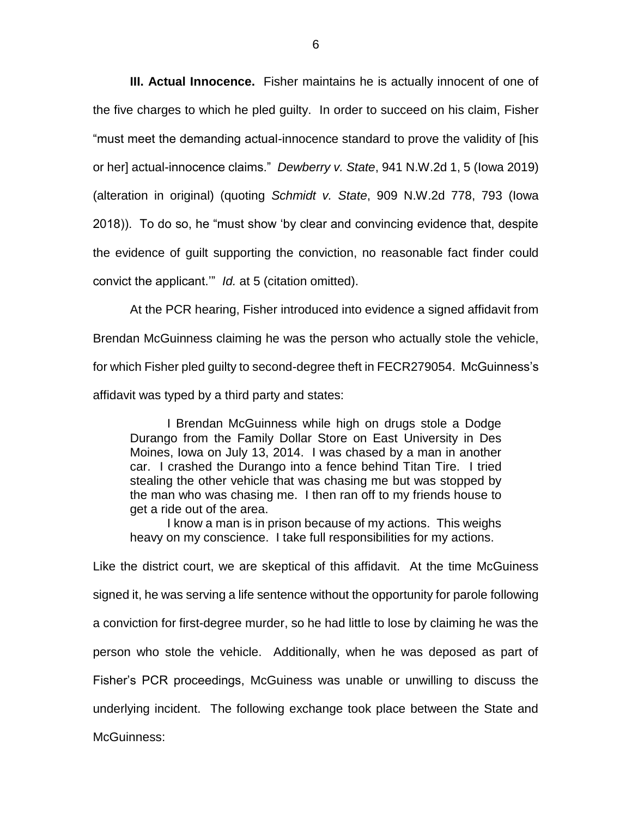**III. Actual Innocence.** Fisher maintains he is actually innocent of one of the five charges to which he pled guilty. In order to succeed on his claim, Fisher "must meet the demanding actual-innocence standard to prove the validity of [his or her] actual-innocence claims." *Dewberry v. State*, 941 N.W.2d 1, 5 (Iowa 2019) (alteration in original) (quoting *Schmidt v. State*, 909 N.W.2d 778, 793 (Iowa 2018)). To do so, he "must show 'by clear and convincing evidence that, despite the evidence of guilt supporting the conviction, no reasonable fact finder could convict the applicant.'" *Id.* at 5 (citation omitted).

At the PCR hearing, Fisher introduced into evidence a signed affidavit from Brendan McGuinness claiming he was the person who actually stole the vehicle, for which Fisher pled guilty to second-degree theft in FECR279054. McGuinness's affidavit was typed by a third party and states:

I Brendan McGuinness while high on drugs stole a Dodge Durango from the Family Dollar Store on East University in Des Moines, Iowa on July 13, 2014. I was chased by a man in another car. I crashed the Durango into a fence behind Titan Tire. I tried stealing the other vehicle that was chasing me but was stopped by the man who was chasing me. I then ran off to my friends house to get a ride out of the area.

I know a man is in prison because of my actions. This weighs heavy on my conscience. I take full responsibilities for my actions.

Like the district court, we are skeptical of this affidavit. At the time McGuiness signed it, he was serving a life sentence without the opportunity for parole following a conviction for first-degree murder, so he had little to lose by claiming he was the person who stole the vehicle. Additionally, when he was deposed as part of Fisher's PCR proceedings, McGuiness was unable or unwilling to discuss the underlying incident. The following exchange took place between the State and McGuinness: